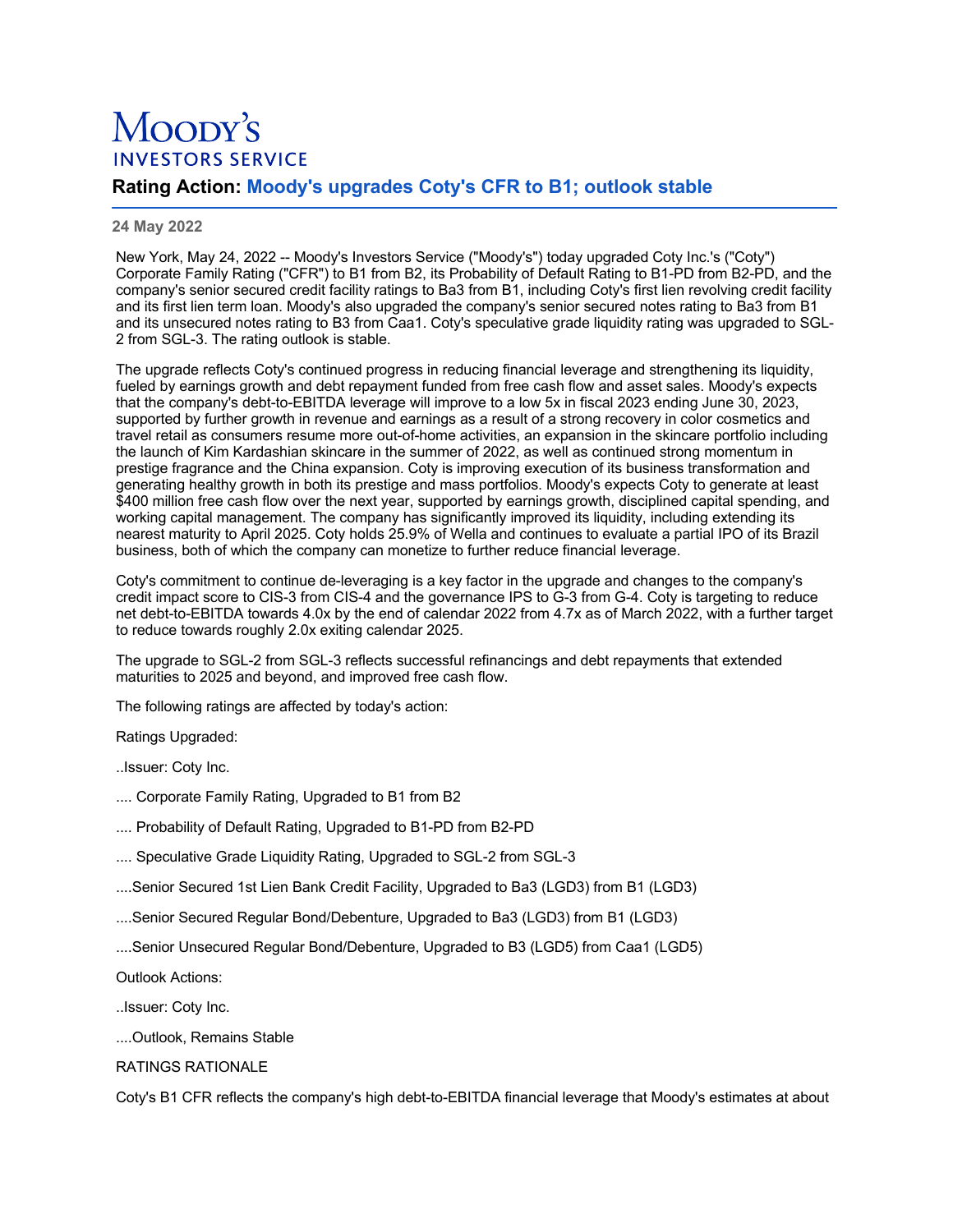# Moopy's **INVESTORS SERVICE**

## **Rating Action: Moody's upgrades Coty's CFR to B1; outlook stable**

### **24 May 2022**

New York, May 24, 2022 -- Moody's Investors Service ("Moody's") today upgraded Coty Inc.'s ("Coty") Corporate Family Rating ("CFR") to B1 from B2, its Probability of Default Rating to B1-PD from B2-PD, and the company's senior secured credit facility ratings to Ba3 from B1, including Coty's first lien revolving credit facility and its first lien term loan. Moody's also upgraded the company's senior secured notes rating to Ba3 from B1 and its unsecured notes rating to B3 from Caa1. Coty's speculative grade liquidity rating was upgraded to SGL-2 from SGL-3. The rating outlook is stable.

The upgrade reflects Coty's continued progress in reducing financial leverage and strengthening its liquidity, fueled by earnings growth and debt repayment funded from free cash flow and asset sales. Moody's expects that the company's debt-to-EBITDA leverage will improve to a low 5x in fiscal 2023 ending June 30, 2023, supported by further growth in revenue and earnings as a result of a strong recovery in color cosmetics and travel retail as consumers resume more out-of-home activities, an expansion in the skincare portfolio including the launch of Kim Kardashian skincare in the summer of 2022, as well as continued strong momentum in prestige fragrance and the China expansion. Coty is improving execution of its business transformation and generating healthy growth in both its prestige and mass portfolios. Moody's expects Coty to generate at least \$400 million free cash flow over the next year, supported by earnings growth, disciplined capital spending, and working capital management. The company has significantly improved its liquidity, including extending its nearest maturity to April 2025. Coty holds 25.9% of Wella and continues to evaluate a partial IPO of its Brazil business, both of which the company can monetize to further reduce financial leverage.

Coty's commitment to continue de-leveraging is a key factor in the upgrade and changes to the company's credit impact score to CIS-3 from CIS-4 and the governance IPS to G-3 from G-4. Coty is targeting to reduce net debt-to-EBITDA towards 4.0x by the end of calendar 2022 from 4.7x as of March 2022, with a further target to reduce towards roughly 2.0x exiting calendar 2025.

The upgrade to SGL-2 from SGL-3 reflects successful refinancings and debt repayments that extended maturities to 2025 and beyond, and improved free cash flow.

The following ratings are affected by today's action:

Ratings Upgraded:

..Issuer: Coty Inc.

- .... Corporate Family Rating, Upgraded to B1 from B2
- .... Probability of Default Rating, Upgraded to B1-PD from B2-PD
- .... Speculative Grade Liquidity Rating, Upgraded to SGL-2 from SGL-3
- ....Senior Secured 1st Lien Bank Credit Facility, Upgraded to Ba3 (LGD3) from B1 (LGD3)
- ....Senior Secured Regular Bond/Debenture, Upgraded to Ba3 (LGD3) from B1 (LGD3)
- ....Senior Unsecured Regular Bond/Debenture, Upgraded to B3 (LGD5) from Caa1 (LGD5)

Outlook Actions:

..Issuer: Coty Inc.

....Outlook, Remains Stable

RATINGS RATIONALE

Coty's B1 CFR reflects the company's high debt-to-EBITDA financial leverage that Moody's estimates at about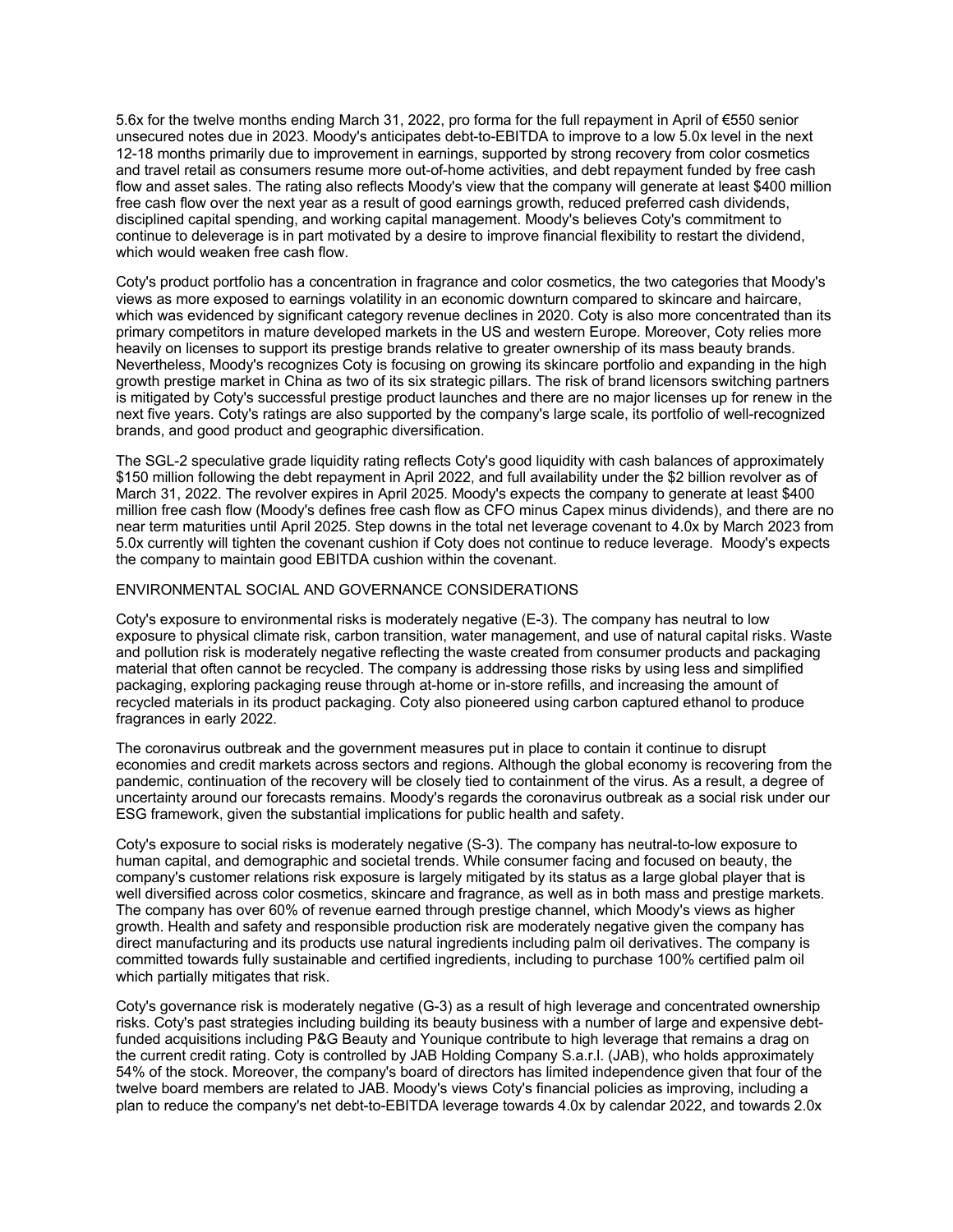5.6x for the twelve months ending March 31, 2022, pro forma for the full repayment in April of €550 senior unsecured notes due in 2023. Moody's anticipates debt-to-EBITDA to improve to a low 5.0x level in the next 12-18 months primarily due to improvement in earnings, supported by strong recovery from color cosmetics and travel retail as consumers resume more out-of-home activities, and debt repayment funded by free cash flow and asset sales. The rating also reflects Moody's view that the company will generate at least \$400 million free cash flow over the next year as a result of good earnings growth, reduced preferred cash dividends, disciplined capital spending, and working capital management. Moody's believes Coty's commitment to continue to deleverage is in part motivated by a desire to improve financial flexibility to restart the dividend, which would weaken free cash flow.

Coty's product portfolio has a concentration in fragrance and color cosmetics, the two categories that Moody's views as more exposed to earnings volatility in an economic downturn compared to skincare and haircare, which was evidenced by significant category revenue declines in 2020. Coty is also more concentrated than its primary competitors in mature developed markets in the US and western Europe. Moreover, Coty relies more heavily on licenses to support its prestige brands relative to greater ownership of its mass beauty brands. Nevertheless, Moody's recognizes Coty is focusing on growing its skincare portfolio and expanding in the high growth prestige market in China as two of its six strategic pillars. The risk of brand licensors switching partners is mitigated by Coty's successful prestige product launches and there are no major licenses up for renew in the next five years. Coty's ratings are also supported by the company's large scale, its portfolio of well-recognized brands, and good product and geographic diversification.

The SGL-2 speculative grade liquidity rating reflects Coty's good liquidity with cash balances of approximately \$150 million following the debt repayment in April 2022, and full availability under the \$2 billion revolver as of March 31, 2022. The revolver expires in April 2025. Moody's expects the company to generate at least \$400 million free cash flow (Moody's defines free cash flow as CFO minus Capex minus dividends), and there are no near term maturities until April 2025. Step downs in the total net leverage covenant to 4.0x by March 2023 from 5.0x currently will tighten the covenant cushion if Coty does not continue to reduce leverage. Moody's expects the company to maintain good EBITDA cushion within the covenant.

#### ENVIRONMENTAL SOCIAL AND GOVERNANCE CONSIDERATIONS

Coty's exposure to environmental risks is moderately negative (E-3). The company has neutral to low exposure to physical climate risk, carbon transition, water management, and use of natural capital risks. Waste and pollution risk is moderately negative reflecting the waste created from consumer products and packaging material that often cannot be recycled. The company is addressing those risks by using less and simplified packaging, exploring packaging reuse through at-home or in-store refills, and increasing the amount of recycled materials in its product packaging. Coty also pioneered using carbon captured ethanol to produce fragrances in early 2022.

The coronavirus outbreak and the government measures put in place to contain it continue to disrupt economies and credit markets across sectors and regions. Although the global economy is recovering from the pandemic, continuation of the recovery will be closely tied to containment of the virus. As a result, a degree of uncertainty around our forecasts remains. Moody's regards the coronavirus outbreak as a social risk under our ESG framework, given the substantial implications for public health and safety.

Coty's exposure to social risks is moderately negative (S-3). The company has neutral-to-low exposure to human capital, and demographic and societal trends. While consumer facing and focused on beauty, the company's customer relations risk exposure is largely mitigated by its status as a large global player that is well diversified across color cosmetics, skincare and fragrance, as well as in both mass and prestige markets. The company has over 60% of revenue earned through prestige channel, which Moody's views as higher growth. Health and safety and responsible production risk are moderately negative given the company has direct manufacturing and its products use natural ingredients including palm oil derivatives. The company is committed towards fully sustainable and certified ingredients, including to purchase 100% certified palm oil which partially mitigates that risk.

Coty's governance risk is moderately negative (G-3) as a result of high leverage and concentrated ownership risks. Coty's past strategies including building its beauty business with a number of large and expensive debtfunded acquisitions including P&G Beauty and Younique contribute to high leverage that remains a drag on the current credit rating. Coty is controlled by JAB Holding Company S.a.r.l. (JAB), who holds approximately 54% of the stock. Moreover, the company's board of directors has limited independence given that four of the twelve board members are related to JAB. Moody's views Coty's financial policies as improving, including a plan to reduce the company's net debt-to-EBITDA leverage towards 4.0x by calendar 2022, and towards 2.0x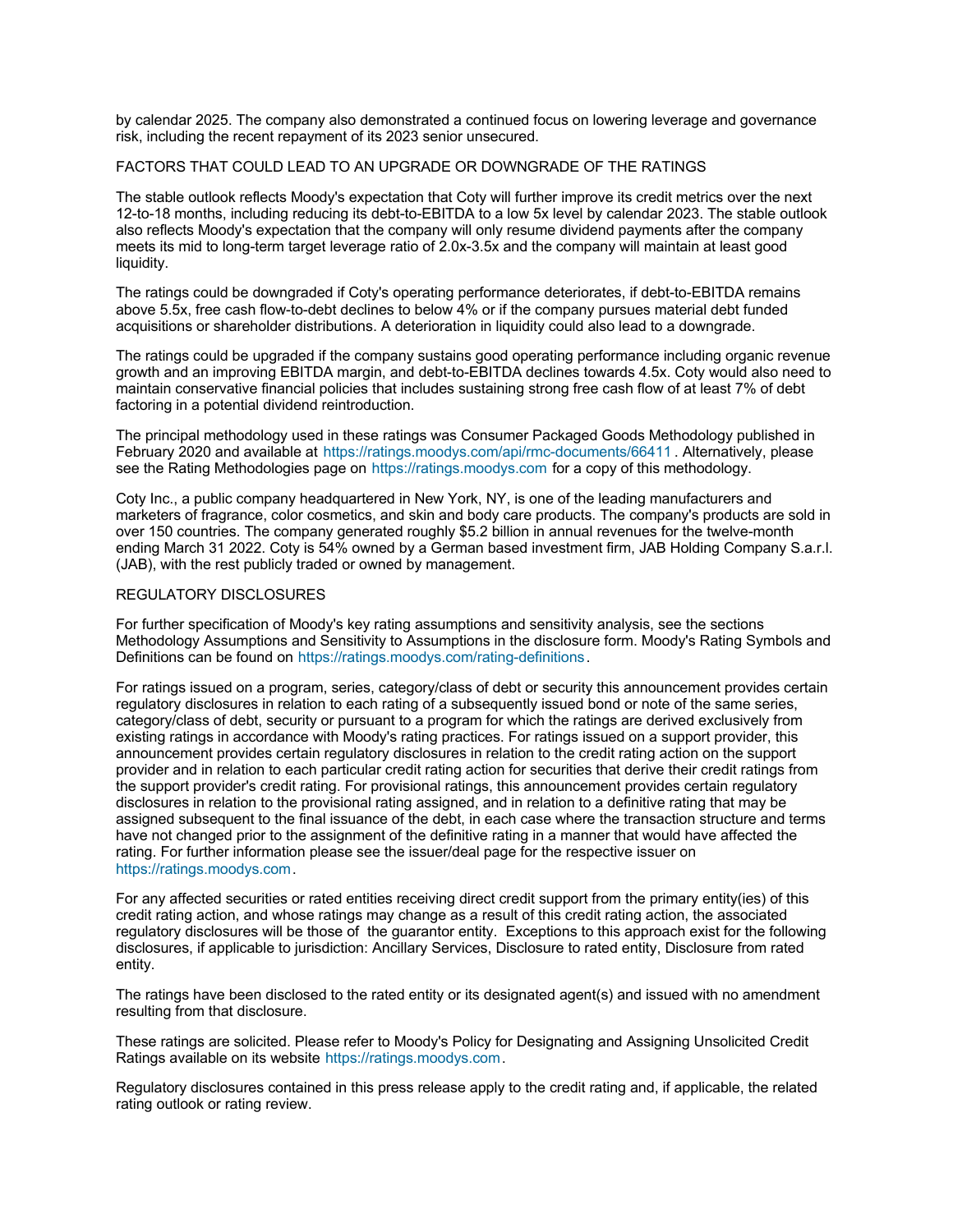by calendar 2025. The company also demonstrated a continued focus on lowering leverage and governance risk, including the recent repayment of its 2023 senior unsecured.

#### FACTORS THAT COULD LEAD TO AN UPGRADE OR DOWNGRADE OF THE RATINGS

The stable outlook reflects Moody's expectation that Coty will further improve its credit metrics over the next 12-to-18 months, including reducing its debt-to-EBITDA to a low 5x level by calendar 2023. The stable outlook also reflects Moody's expectation that the company will only resume dividend payments after the company meets its mid to long-term target leverage ratio of 2.0x-3.5x and the company will maintain at least good liquidity.

The ratings could be downgraded if Coty's operating performance deteriorates, if debt-to-EBITDA remains above 5.5x, free cash flow-to-debt declines to below 4% or if the company pursues material debt funded acquisitions or shareholder distributions. A deterioration in liquidity could also lead to a downgrade.

The ratings could be upgraded if the company sustains good operating performance including organic revenue growth and an improving EBITDA margin, and debt-to-EBITDA declines towards 4.5x. Coty would also need to maintain conservative financial policies that includes sustaining strong free cash flow of at least 7% of debt factoring in a potential dividend reintroduction.

The principal methodology used in these ratings was Consumer Packaged Goods Methodology published in February 2020 and available at <https://ratings.moodys.com/api/rmc-documents/66411> . Alternatively, please see the Rating Methodologies page on [https://ratings.moodys.com](https://ratings.moodys.com/) for a copy of this methodology.

Coty Inc., a public company headquartered in New York, NY, is one of the leading manufacturers and marketers of fragrance, color cosmetics, and skin and body care products. The company's products are sold in over 150 countries. The company generated roughly \$5.2 billion in annual revenues for the twelve-month ending March 31 2022. Coty is 54% owned by a German based investment firm, JAB Holding Company S.a.r.l. (JAB), with the rest publicly traded or owned by management.

#### REGULATORY DISCLOSURES

For further specification of Moody's key rating assumptions and sensitivity analysis, see the sections Methodology Assumptions and Sensitivity to Assumptions in the disclosure form. Moody's Rating Symbols and Definitions can be found on<https://ratings.moodys.com/rating-definitions>.

For ratings issued on a program, series, category/class of debt or security this announcement provides certain regulatory disclosures in relation to each rating of a subsequently issued bond or note of the same series, category/class of debt, security or pursuant to a program for which the ratings are derived exclusively from existing ratings in accordance with Moody's rating practices. For ratings issued on a support provider, this announcement provides certain regulatory disclosures in relation to the credit rating action on the support provider and in relation to each particular credit rating action for securities that derive their credit ratings from the support provider's credit rating. For provisional ratings, this announcement provides certain regulatory disclosures in relation to the provisional rating assigned, and in relation to a definitive rating that may be assigned subsequent to the final issuance of the debt, in each case where the transaction structure and terms have not changed prior to the assignment of the definitive rating in a manner that would have affected the rating. For further information please see the issuer/deal page for the respective issuer on [https://ratings.moodys.com](https://ratings.moodys.com/).

For any affected securities or rated entities receiving direct credit support from the primary entity(ies) of this credit rating action, and whose ratings may change as a result of this credit rating action, the associated regulatory disclosures will be those of the guarantor entity. Exceptions to this approach exist for the following disclosures, if applicable to jurisdiction: Ancillary Services, Disclosure to rated entity, Disclosure from rated entity.

The ratings have been disclosed to the rated entity or its designated agent(s) and issued with no amendment resulting from that disclosure.

These ratings are solicited. Please refer to Moody's Policy for Designating and Assigning Unsolicited Credit Ratings available on its website [https://ratings.moodys.com](https://ratings.moodys.com/).

Regulatory disclosures contained in this press release apply to the credit rating and, if applicable, the related rating outlook or rating review.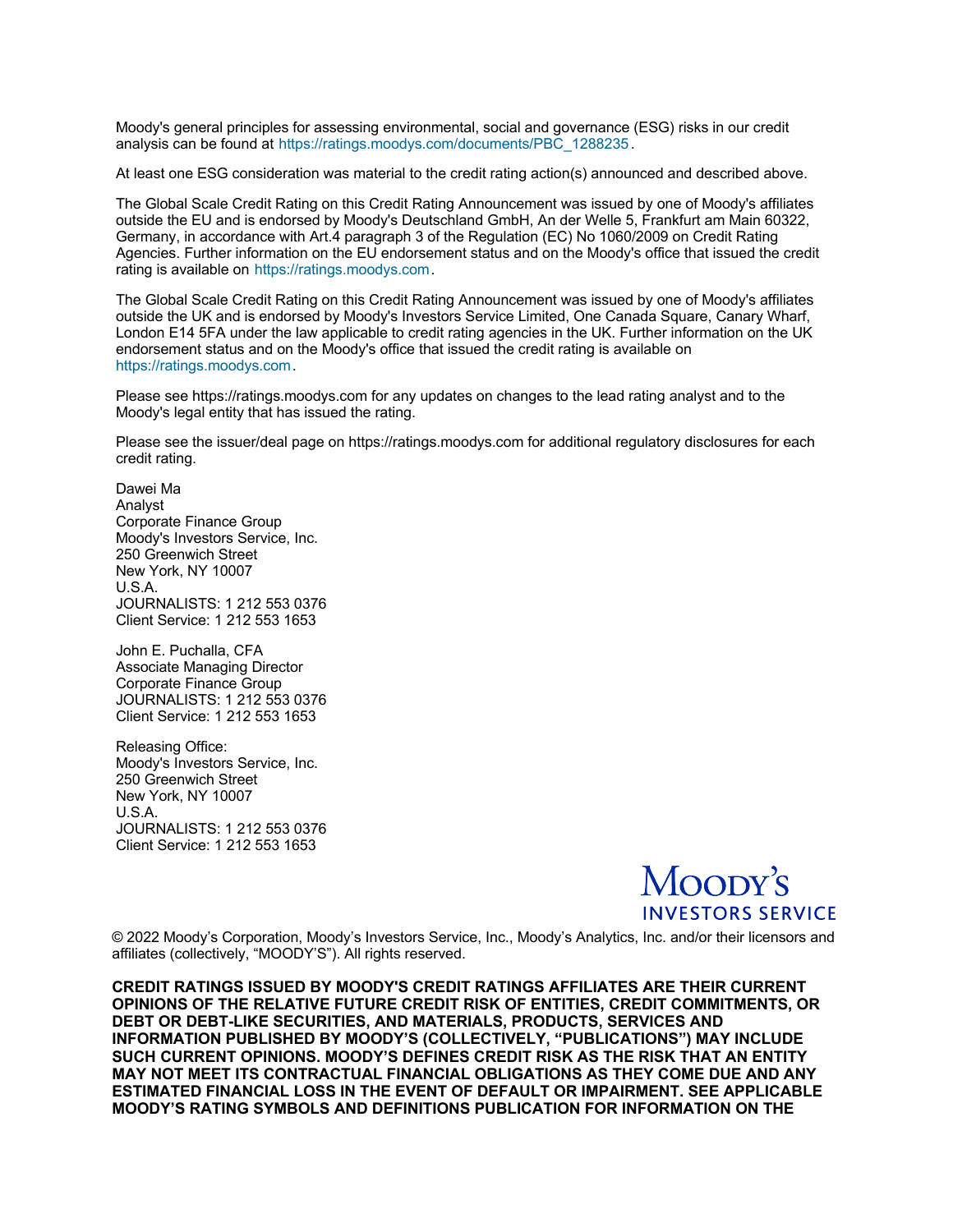Moody's general principles for assessing environmental, social and governance (ESG) risks in our credit analysis can be found at [https://ratings.moodys.com/documents/PBC\\_1288235](https://ratings.moodys.com/documents/PBC_1288235).

At least one ESG consideration was material to the credit rating action(s) announced and described above.

The Global Scale Credit Rating on this Credit Rating Announcement was issued by one of Moody's affiliates outside the EU and is endorsed by Moody's Deutschland GmbH, An der Welle 5, Frankfurt am Main 60322, Germany, in accordance with Art.4 paragraph 3 of the Regulation (EC) No 1060/2009 on Credit Rating Agencies. Further information on the EU endorsement status and on the Moody's office that issued the credit rating is available on [https://ratings.moodys.com](https://ratings.moodys.com/).

The Global Scale Credit Rating on this Credit Rating Announcement was issued by one of Moody's affiliates outside the UK and is endorsed by Moody's Investors Service Limited, One Canada Square, Canary Wharf, London E14 5FA under the law applicable to credit rating agencies in the UK. Further information on the UK endorsement status and on the Moody's office that issued the credit rating is available on [https://ratings.moodys.com](https://ratings.moodys.com/).

Please see https://ratings.moodys.com for any updates on changes to the lead rating analyst and to the Moody's legal entity that has issued the rating.

Please see the issuer/deal page on https://ratings.moodys.com for additional regulatory disclosures for each credit rating.

Dawei Ma Analyst Corporate Finance Group Moody's Investors Service, Inc. 250 Greenwich Street New York, NY 10007 U.S.A. JOURNALISTS: 1 212 553 0376 Client Service: 1 212 553 1653

John E. Puchalla, CFA Associate Managing Director Corporate Finance Group JOURNALISTS: 1 212 553 0376 Client Service: 1 212 553 1653

Releasing Office: Moody's Investors Service, Inc. 250 Greenwich Street New York, NY 10007 U.S.A. JOURNALISTS: 1 212 553 0376 Client Service: 1 212 553 1653

> Moopy's **INVESTORS SERVICE**

© 2022 Moody's Corporation, Moody's Investors Service, Inc., Moody's Analytics, Inc. and/or their licensors and affiliates (collectively, "MOODY'S"). All rights reserved.

**CREDIT RATINGS ISSUED BY MOODY'S CREDIT RATINGS AFFILIATES ARE THEIR CURRENT OPINIONS OF THE RELATIVE FUTURE CREDIT RISK OF ENTITIES, CREDIT COMMITMENTS, OR DEBT OR DEBT-LIKE SECURITIES, AND MATERIALS, PRODUCTS, SERVICES AND INFORMATION PUBLISHED BY MOODY'S (COLLECTIVELY, "PUBLICATIONS") MAY INCLUDE SUCH CURRENT OPINIONS. MOODY'S DEFINES CREDIT RISK AS THE RISK THAT AN ENTITY MAY NOT MEET ITS CONTRACTUAL FINANCIAL OBLIGATIONS AS THEY COME DUE AND ANY ESTIMATED FINANCIAL LOSS IN THE EVENT OF DEFAULT OR IMPAIRMENT. SEE APPLICABLE MOODY'S RATING SYMBOLS AND DEFINITIONS PUBLICATION FOR INFORMATION ON THE**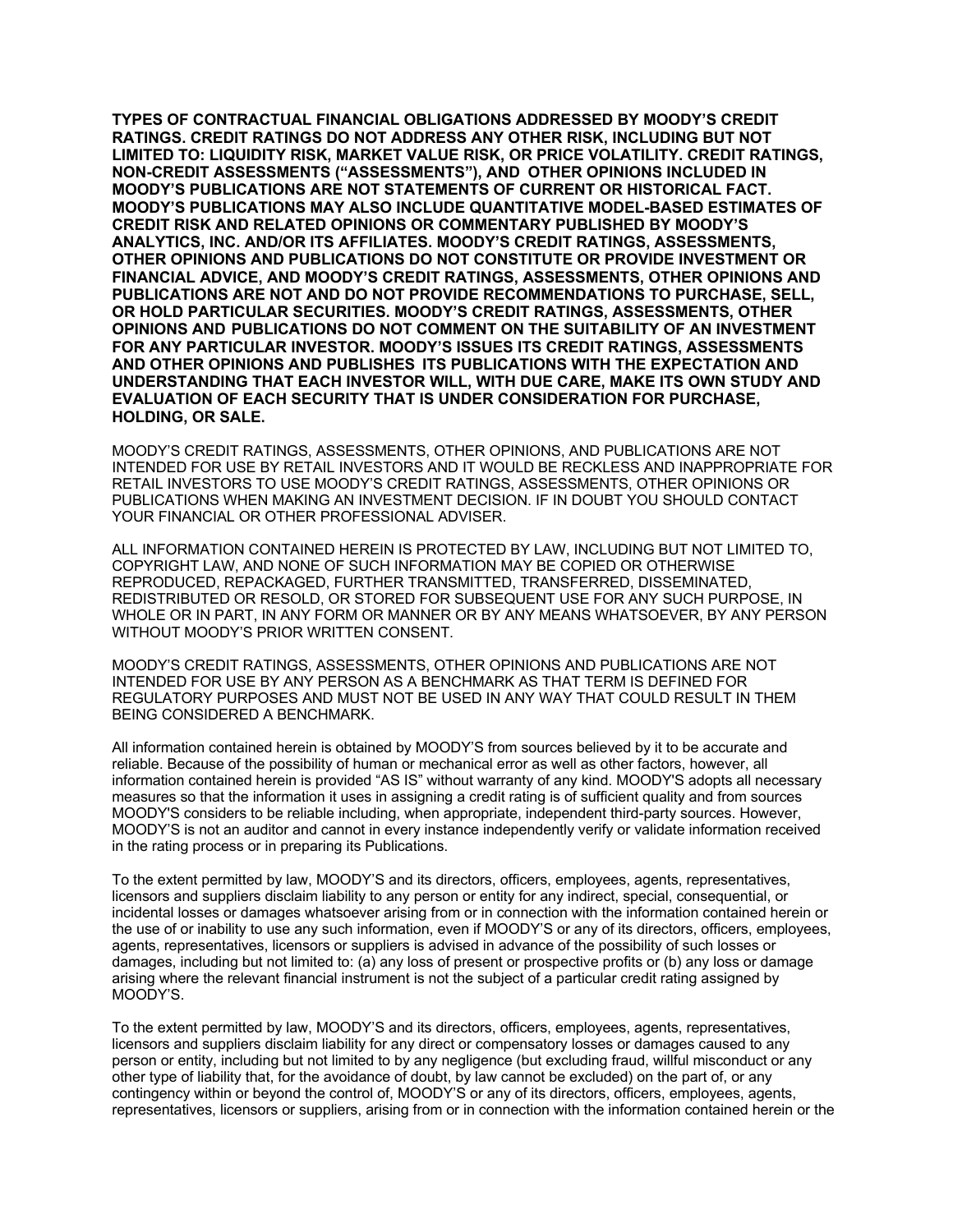**TYPES OF CONTRACTUAL FINANCIAL OBLIGATIONS ADDRESSED BY MOODY'S CREDIT RATINGS. CREDIT RATINGS DO NOT ADDRESS ANY OTHER RISK, INCLUDING BUT NOT LIMITED TO: LIQUIDITY RISK, MARKET VALUE RISK, OR PRICE VOLATILITY. CREDIT RATINGS, NON-CREDIT ASSESSMENTS ("ASSESSMENTS"), AND OTHER OPINIONS INCLUDED IN MOODY'S PUBLICATIONS ARE NOT STATEMENTS OF CURRENT OR HISTORICAL FACT. MOODY'S PUBLICATIONS MAY ALSO INCLUDE QUANTITATIVE MODEL-BASED ESTIMATES OF CREDIT RISK AND RELATED OPINIONS OR COMMENTARY PUBLISHED BY MOODY'S ANALYTICS, INC. AND/OR ITS AFFILIATES. MOODY'S CREDIT RATINGS, ASSESSMENTS, OTHER OPINIONS AND PUBLICATIONS DO NOT CONSTITUTE OR PROVIDE INVESTMENT OR FINANCIAL ADVICE, AND MOODY'S CREDIT RATINGS, ASSESSMENTS, OTHER OPINIONS AND PUBLICATIONS ARE NOT AND DO NOT PROVIDE RECOMMENDATIONS TO PURCHASE, SELL, OR HOLD PARTICULAR SECURITIES. MOODY'S CREDIT RATINGS, ASSESSMENTS, OTHER OPINIONS AND PUBLICATIONS DO NOT COMMENT ON THE SUITABILITY OF AN INVESTMENT FOR ANY PARTICULAR INVESTOR. MOODY'S ISSUES ITS CREDIT RATINGS, ASSESSMENTS AND OTHER OPINIONS AND PUBLISHES ITS PUBLICATIONS WITH THE EXPECTATION AND UNDERSTANDING THAT EACH INVESTOR WILL, WITH DUE CARE, MAKE ITS OWN STUDY AND EVALUATION OF EACH SECURITY THAT IS UNDER CONSIDERATION FOR PURCHASE, HOLDING, OR SALE.** 

MOODY'S CREDIT RATINGS, ASSESSMENTS, OTHER OPINIONS, AND PUBLICATIONS ARE NOT INTENDED FOR USE BY RETAIL INVESTORS AND IT WOULD BE RECKLESS AND INAPPROPRIATE FOR RETAIL INVESTORS TO USE MOODY'S CREDIT RATINGS, ASSESSMENTS, OTHER OPINIONS OR PUBLICATIONS WHEN MAKING AN INVESTMENT DECISION. IF IN DOUBT YOU SHOULD CONTACT YOUR FINANCIAL OR OTHER PROFESSIONAL ADVISER.

ALL INFORMATION CONTAINED HEREIN IS PROTECTED BY LAW, INCLUDING BUT NOT LIMITED TO, COPYRIGHT LAW, AND NONE OF SUCH INFORMATION MAY BE COPIED OR OTHERWISE REPRODUCED, REPACKAGED, FURTHER TRANSMITTED, TRANSFERRED, DISSEMINATED, REDISTRIBUTED OR RESOLD, OR STORED FOR SUBSEQUENT USE FOR ANY SUCH PURPOSE, IN WHOLE OR IN PART, IN ANY FORM OR MANNER OR BY ANY MEANS WHATSOEVER, BY ANY PERSON WITHOUT MOODY'S PRIOR WRITTEN CONSENT.

MOODY'S CREDIT RATINGS, ASSESSMENTS, OTHER OPINIONS AND PUBLICATIONS ARE NOT INTENDED FOR USE BY ANY PERSON AS A BENCHMARK AS THAT TERM IS DEFINED FOR REGULATORY PURPOSES AND MUST NOT BE USED IN ANY WAY THAT COULD RESULT IN THEM BEING CONSIDERED A BENCHMARK.

All information contained herein is obtained by MOODY'S from sources believed by it to be accurate and reliable. Because of the possibility of human or mechanical error as well as other factors, however, all information contained herein is provided "AS IS" without warranty of any kind. MOODY'S adopts all necessary measures so that the information it uses in assigning a credit rating is of sufficient quality and from sources MOODY'S considers to be reliable including, when appropriate, independent third-party sources. However, MOODY'S is not an auditor and cannot in every instance independently verify or validate information received in the rating process or in preparing its Publications.

To the extent permitted by law, MOODY'S and its directors, officers, employees, agents, representatives, licensors and suppliers disclaim liability to any person or entity for any indirect, special, consequential, or incidental losses or damages whatsoever arising from or in connection with the information contained herein or the use of or inability to use any such information, even if MOODY'S or any of its directors, officers, employees, agents, representatives, licensors or suppliers is advised in advance of the possibility of such losses or damages, including but not limited to: (a) any loss of present or prospective profits or (b) any loss or damage arising where the relevant financial instrument is not the subject of a particular credit rating assigned by MOODY'S.

To the extent permitted by law, MOODY'S and its directors, officers, employees, agents, representatives, licensors and suppliers disclaim liability for any direct or compensatory losses or damages caused to any person or entity, including but not limited to by any negligence (but excluding fraud, willful misconduct or any other type of liability that, for the avoidance of doubt, by law cannot be excluded) on the part of, or any contingency within or beyond the control of, MOODY'S or any of its directors, officers, employees, agents, representatives, licensors or suppliers, arising from or in connection with the information contained herein or the